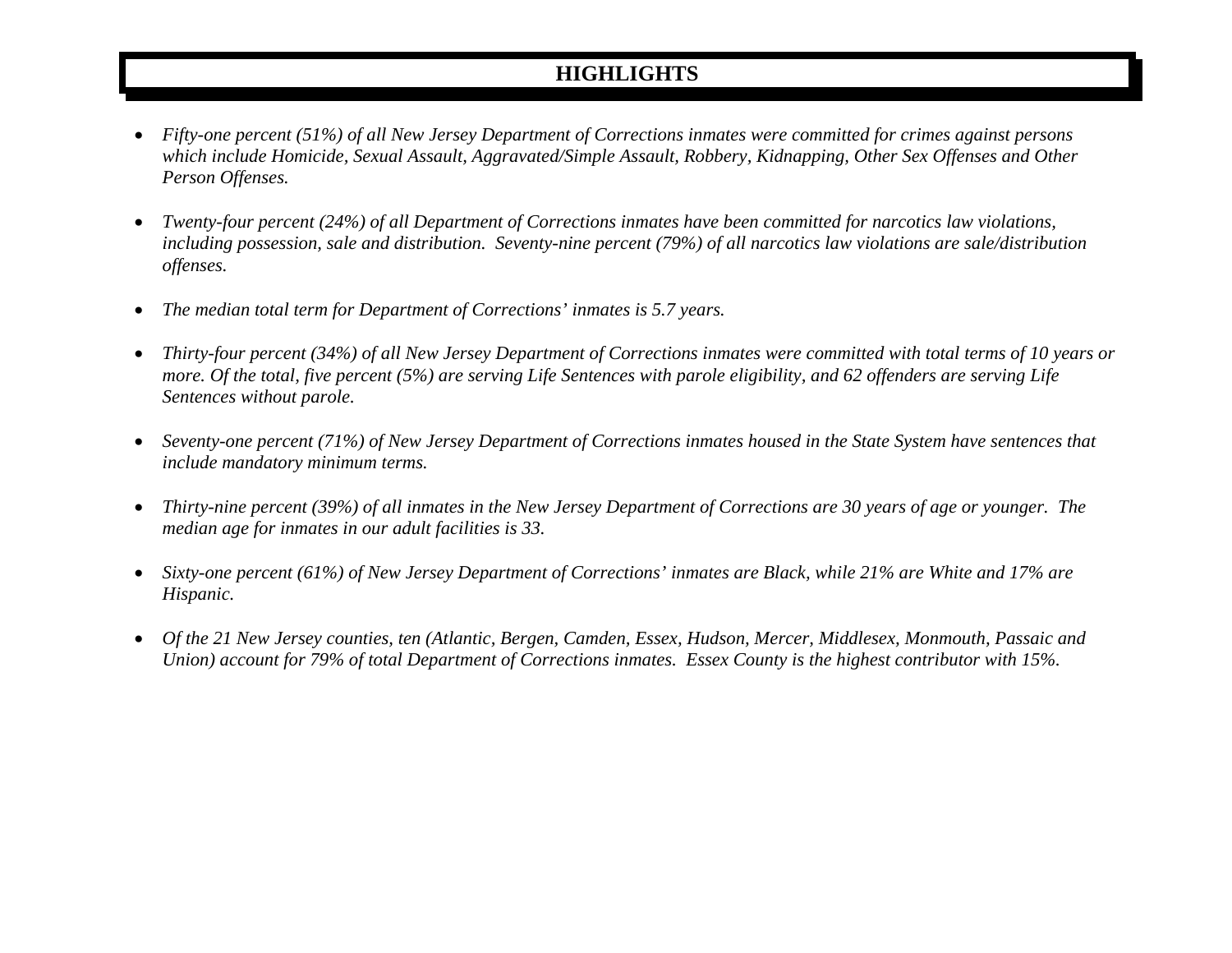## **HIGHLIGHTS**

- • *Fifty-one percent (51%) of all New Jersey Department of Corrections inmates were committed for crimes against persons which include Homicide, Sexual Assault, Aggravated/Simple Assault, Robbery, Kidnapping, Other Sex Offenses and Other Person Offenses.*
- • *Twenty-four percent (24%) of all Department of Corrections inmates have been committed for narcotics law violations, including possession, sale and distribution. Seventy-nine percent (79%) of all narcotics law violations are sale/distribution offenses.*
- •*The median total term for Department of Corrections' inmates is 5.7 years.*
- • *Thirty-four percent (34%) of all New Jersey Department of Corrections inmates were committed with total terms of 10 years or more. Of the total, five percent (5%) are serving Life Sentences with parole eligibility, and 62 offenders are serving Life Sentences without parole.*
- • *Seventy-one percent (71%) of New Jersey Department of Corrections inmates housed in the State System have sentences that include mandatory minimum terms.*
- • *Thirty-nine percent (39%) of all inmates in the New Jersey Department of Corrections are 30 years of age or younger. The median age for inmates in our adult facilities is 33.*
- • *Sixty-one percent (61%) of New Jersey Department of Corrections' inmates are Black, while 21% are White and 17% are Hispanic.*
- • *Of the 21 New Jersey counties, ten (Atlantic, Bergen, Camden, Essex, Hudson, Mercer, Middlesex, Monmouth, Passaic and Union) account for 79% of total Department of Corrections inmates. Essex County is the highest contributor with 15%.*